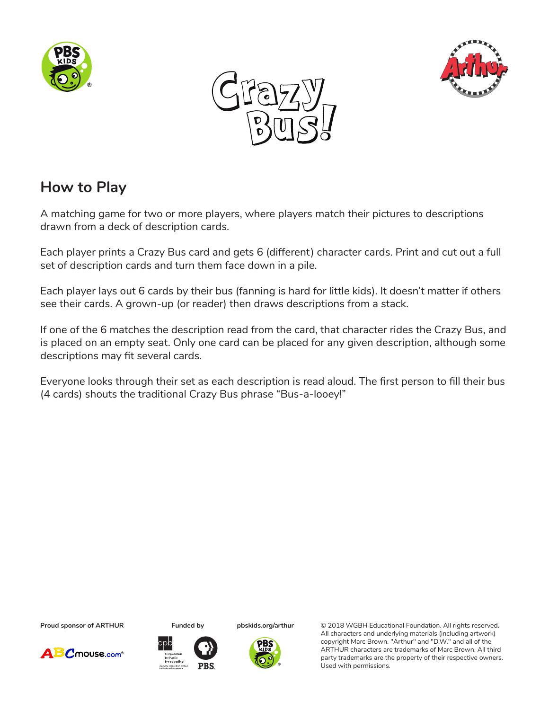





## **How to Play**

A matching game for two or more players, where players match their pictures to descriptions drawn from a deck of description cards.

Each player prints a Crazy Bus card and gets 6 (different) character cards. Print and cut out a full set of description cards and turn them face down in a pile.

Each player lays out 6 cards by their bus (fanning is hard for little kids). It doesn't matter if others see their cards. A grown-up (or reader) then draws descriptions from a stack.

If one of the 6 matches the description read from the card, that character rides the Crazy Bus, and is placed on an empty seat. Only one card can be placed for any given description, although some descriptions may fit several cards.

Everyone looks through their set as each description is read aloud. The first person to fill their bus (4 cards) shouts the traditional Crazy Bus phrase "Bus-a-looey!"





**Funded by pbskids.org/arthur**



**Proud sponsor of ARTHUR** Funded by pbskids.org/arthur © 2018 WGBH Educational Foundation. All rights reserved. All characters and underlying materials (including artwork) copyright Marc Brown. "Arthur" and "D.W." and all of the ARTHUR characters are trademarks of Marc Brown. All third party trademarks are the property of their respective owners. Used with permissions.

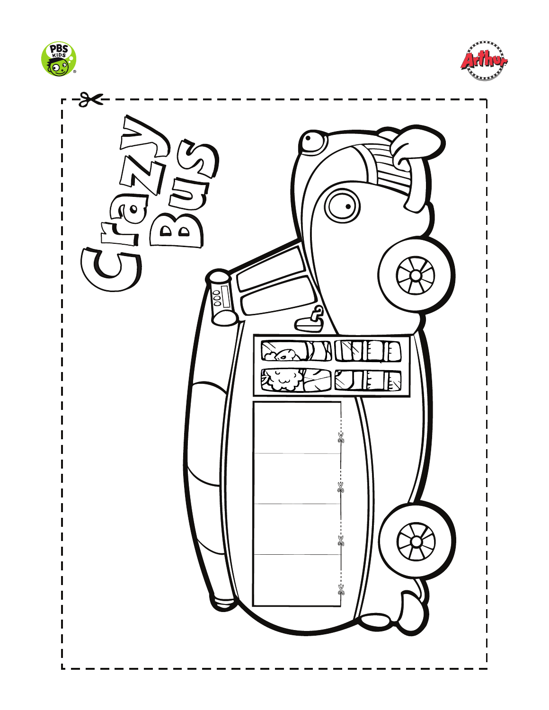



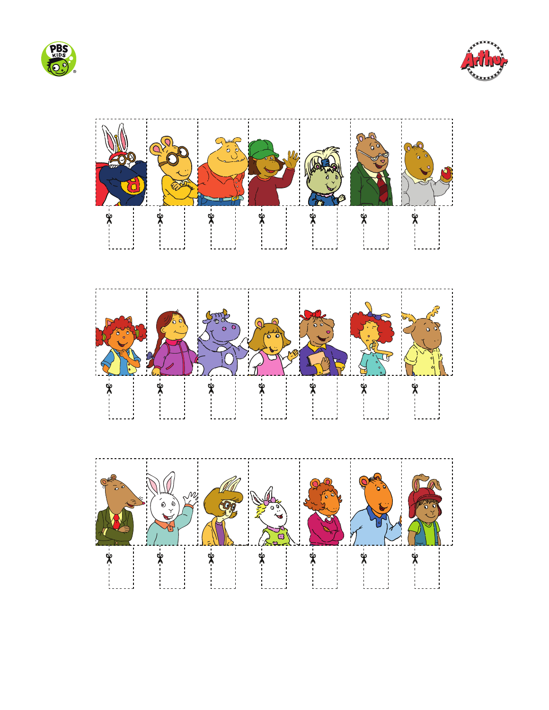